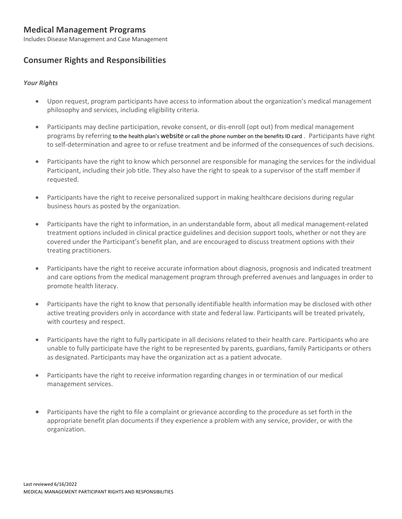# **Medical Management Programs**

Includes Disease Management and Case Management

## **Consumer Rights and Responsibilities**

#### *Your Rights*

- Upon request, program participants have access to information about the organization's medical management philosophy and services, including eligibility criteria.
- Participants may decline participation, revoke consent, or dis-enroll (opt out) from medical management programs by referring to the health plan's website or call the phone number on the benefits ID card . Participants have right to self-determination and agree to or refuse treatment and be informed of the consequences of such decisions.
- Participants have the right to know which personnel are responsible for managing the services for the individual Participant, including their job title. They also have the right to speak to a supervisor of the staff member if requested.
- Participants have the right to receive personalized support in making healthcare decisions during regular business hours as posted by the organization.
- Participants have the right to information, in an understandable form, about all medical management-related treatment options included in clinical practice guidelines and decision support tools, whether or not they are covered under the Participant's benefit plan, and are encouraged to discuss treatment options with their treating practitioners.
- Participants have the right to receive accurate information about diagnosis, prognosis and indicated treatment and care options from the medical management program through preferred avenues and languages in order to promote health literacy.
- Participants have the right to know that personally identifiable health information may be disclosed with other active treating providers only in accordance with state and federal law. Participants will be treated privately, with courtesy and respect.
- Participants have the right to fully participate in all decisions related to their health care. Participants who are unable to fully participate have the right to be represented by parents, guardians, family Participants or others as designated. Participants may have the organization act as a patient advocate.
- Participants have the right to receive information regarding changes in or termination of our medical management services.
- Participants have the right to file a complaint or grievance according to the procedure as set forth in the appropriate benefit plan documents if they experience a problem with any service, provider, or with the organization.